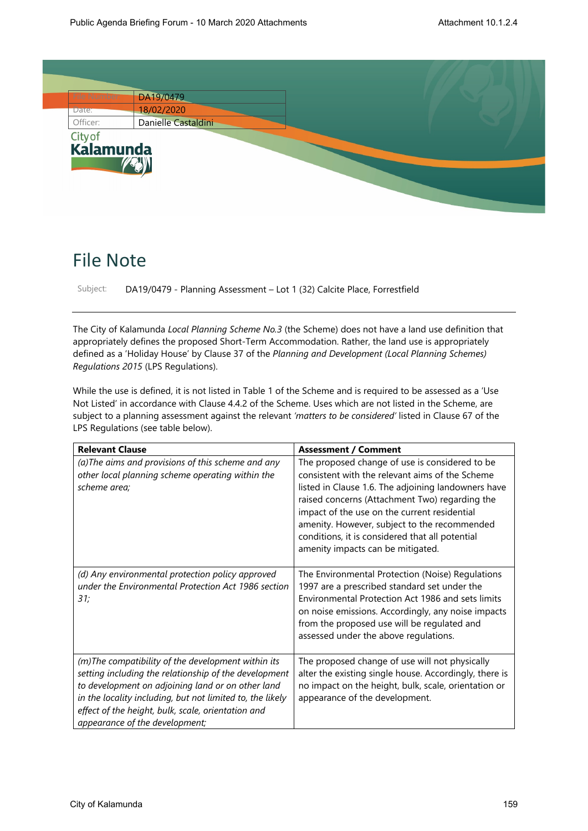

## File Note

Subject: DA19/0479 - Planning Assessment – Lot 1 (32) Calcite Place, Forrestfield

The City of Kalamunda *Local Planning Scheme No.3* (the Scheme) does not have a land use definition that appropriately defines the proposed Short-Term Accommodation. Rather, the land use is appropriately defined as a 'Holiday House' by Clause 37 of the *Planning and Development (Local Planning Schemes) Regulations 2015* (LPS Regulations).

While the use is defined, it is not listed in Table 1 of the Scheme and is required to be assessed as a 'Use Not Listed' in accordance with Clause 4.4.2 of the Scheme. Uses which are not listed in the Scheme, are subject to a planning assessment against the relevant *'matters to be considered'* listed in Clause 67 of the LPS Regulations (see table below).

| <b>Relevant Clause</b>                                                                                                                                                                                                                                                                                                | <b>Assessment / Comment</b>                                                                                                                                                                                                                                                                                                                                                                        |
|-----------------------------------------------------------------------------------------------------------------------------------------------------------------------------------------------------------------------------------------------------------------------------------------------------------------------|----------------------------------------------------------------------------------------------------------------------------------------------------------------------------------------------------------------------------------------------------------------------------------------------------------------------------------------------------------------------------------------------------|
| (a) The aims and provisions of this scheme and any<br>other local planning scheme operating within the<br>scheme area;                                                                                                                                                                                                | The proposed change of use is considered to be<br>consistent with the relevant aims of the Scheme<br>listed in Clause 1.6. The adjoining landowners have<br>raised concerns (Attachment Two) regarding the<br>impact of the use on the current residential<br>amenity. However, subject to the recommended<br>conditions, it is considered that all potential<br>amenity impacts can be mitigated. |
| (d) Any environmental protection policy approved<br>under the Environmental Protection Act 1986 section<br>31;                                                                                                                                                                                                        | The Environmental Protection (Noise) Regulations<br>1997 are a prescribed standard set under the<br>Environmental Protection Act 1986 and sets limits<br>on noise emissions. Accordingly, any noise impacts<br>from the proposed use will be regulated and<br>assessed under the above regulations.                                                                                                |
| (m)The compatibility of the development within its<br>setting including the relationship of the development<br>to development on adjoining land or on other land<br>in the locality including, but not limited to, the likely<br>effect of the height, bulk, scale, orientation and<br>appearance of the development; | The proposed change of use will not physically<br>alter the existing single house. Accordingly, there is<br>no impact on the height, bulk, scale, orientation or<br>appearance of the development.                                                                                                                                                                                                 |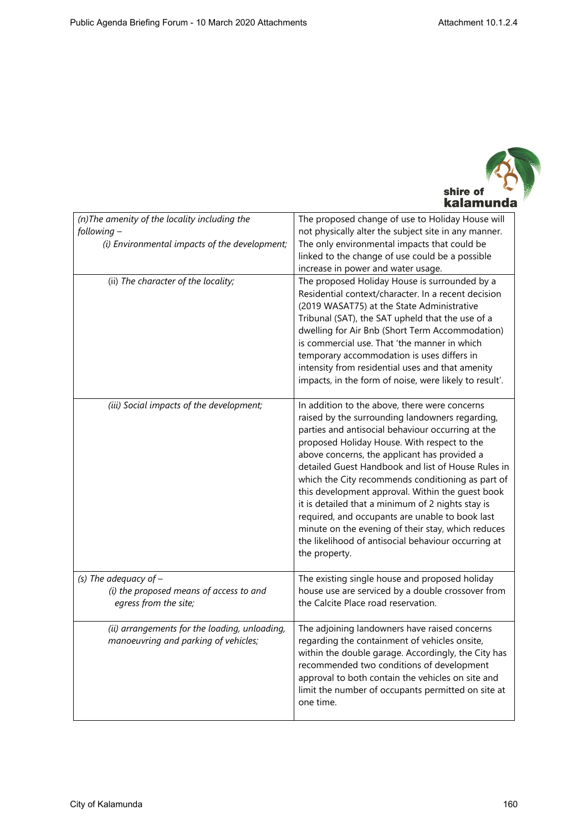

| (n) The amenity of the locality including the<br>following-<br>(i) Environmental impacts of the development; | The proposed change of use to Holiday House will<br>not physically alter the subject site in any manner.<br>The only environmental impacts that could be<br>linked to the change of use could be a possible<br>increase in power and water usage.                                                                                                                                                                                                                                                                                                                                                                                                         |
|--------------------------------------------------------------------------------------------------------------|-----------------------------------------------------------------------------------------------------------------------------------------------------------------------------------------------------------------------------------------------------------------------------------------------------------------------------------------------------------------------------------------------------------------------------------------------------------------------------------------------------------------------------------------------------------------------------------------------------------------------------------------------------------|
| (ii) The character of the locality;                                                                          | The proposed Holiday House is surrounded by a<br>Residential context/character. In a recent decision<br>(2019 WASAT75) at the State Administrative<br>Tribunal (SAT), the SAT upheld that the use of a<br>dwelling for Air Bnb (Short Term Accommodation)<br>is commercial use. That 'the manner in which<br>temporary accommodation is uses differs in<br>intensity from residential uses and that amenity<br>impacts, in the form of noise, were likely to result'.                                                                                                                                                                                     |
| (iii) Social impacts of the development;                                                                     | In addition to the above, there were concerns<br>raised by the surrounding landowners regarding,<br>parties and antisocial behaviour occurring at the<br>proposed Holiday House. With respect to the<br>above concerns, the applicant has provided a<br>detailed Guest Handbook and list of House Rules in<br>which the City recommends conditioning as part of<br>this development approval. Within the guest book<br>it is detailed that a minimum of 2 nights stay is<br>required, and occupants are unable to book last<br>minute on the evening of their stay, which reduces<br>the likelihood of antisocial behaviour occurring at<br>the property. |
| (s) The adequacy of $-$<br>(i) the proposed means of access to and<br>egress from the site;                  | The existing single house and proposed holiday<br>house use are serviced by a double crossover from<br>the Calcite Place road reservation.                                                                                                                                                                                                                                                                                                                                                                                                                                                                                                                |
| (ii) arrangements for the loading, unloading,<br>manoeuvring and parking of vehicles;                        | The adjoining landowners have raised concerns<br>regarding the containment of vehicles onsite,<br>within the double garage. Accordingly, the City has<br>recommended two conditions of development<br>approval to both contain the vehicles on site and<br>limit the number of occupants permitted on site at<br>one time.                                                                                                                                                                                                                                                                                                                                |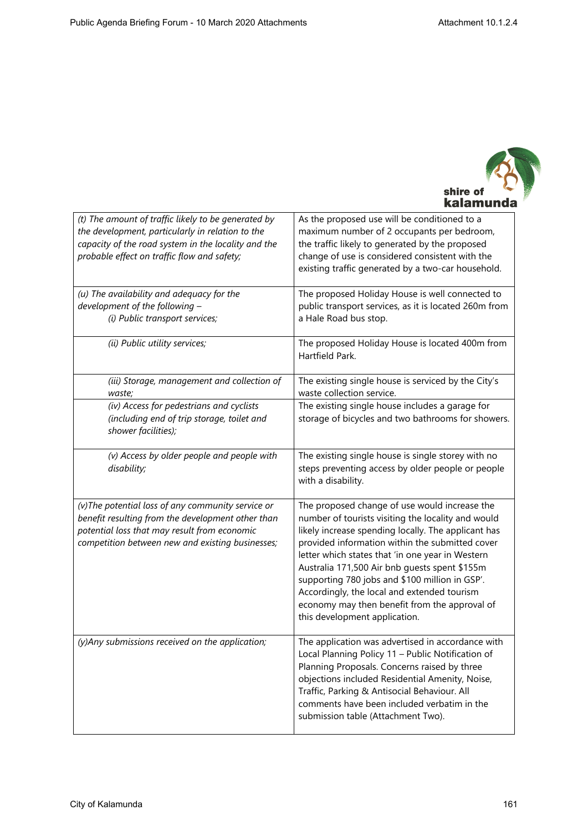

| (t) The amount of traffic likely to be generated by<br>the development, particularly in relation to the<br>capacity of the road system in the locality and the<br>probable effect on traffic flow and safety; | As the proposed use will be conditioned to a<br>maximum number of 2 occupants per bedroom,<br>the traffic likely to generated by the proposed<br>change of use is considered consistent with the<br>existing traffic generated by a two-car household.                                                                                                                                                                                                                                                |
|---------------------------------------------------------------------------------------------------------------------------------------------------------------------------------------------------------------|-------------------------------------------------------------------------------------------------------------------------------------------------------------------------------------------------------------------------------------------------------------------------------------------------------------------------------------------------------------------------------------------------------------------------------------------------------------------------------------------------------|
| (u) The availability and adequacy for the<br>development of the following -<br>(i) Public transport services;                                                                                                 | The proposed Holiday House is well connected to<br>public transport services, as it is located 260m from<br>a Hale Road bus stop.                                                                                                                                                                                                                                                                                                                                                                     |
| (ii) Public utility services;                                                                                                                                                                                 | The proposed Holiday House is located 400m from<br>Hartfield Park.                                                                                                                                                                                                                                                                                                                                                                                                                                    |
| (iii) Storage, management and collection of<br>waste;                                                                                                                                                         | The existing single house is serviced by the City's<br>waste collection service.                                                                                                                                                                                                                                                                                                                                                                                                                      |
| (iv) Access for pedestrians and cyclists<br>(including end of trip storage, toilet and<br>shower facilities);                                                                                                 | The existing single house includes a garage for<br>storage of bicycles and two bathrooms for showers.                                                                                                                                                                                                                                                                                                                                                                                                 |
| (v) Access by older people and people with<br>disability;                                                                                                                                                     | The existing single house is single storey with no<br>steps preventing access by older people or people<br>with a disability.                                                                                                                                                                                                                                                                                                                                                                         |
| (v) The potential loss of any community service or<br>benefit resulting from the development other than<br>potential loss that may result from economic<br>competition between new and existing businesses;   | The proposed change of use would increase the<br>number of tourists visiting the locality and would<br>likely increase spending locally. The applicant has<br>provided information within the submitted cover<br>letter which states that 'in one year in Western<br>Australia 171,500 Air bnb guests spent \$155m<br>supporting 780 jobs and \$100 million in GSP'.<br>Accordingly, the local and extended tourism<br>economy may then benefit from the approval of<br>this development application. |
| (y)Any submissions received on the application;                                                                                                                                                               | The application was advertised in accordance with<br>Local Planning Policy 11 - Public Notification of<br>Planning Proposals. Concerns raised by three<br>objections included Residential Amenity, Noise,<br>Traffic, Parking & Antisocial Behaviour. All<br>comments have been included verbatim in the<br>submission table (Attachment Two).                                                                                                                                                        |